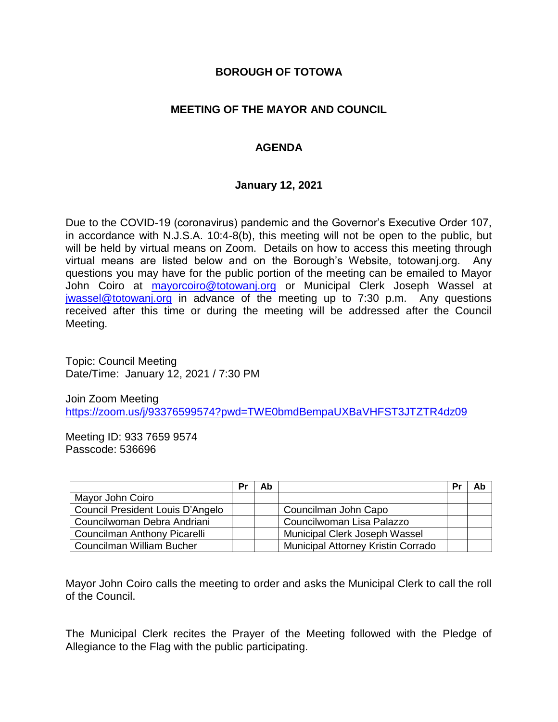#### **BOROUGH OF TOTOWA**

### **MEETING OF THE MAYOR AND COUNCIL**

### **AGENDA**

#### **January 12, 2021**

Due to the COVID-19 (coronavirus) pandemic and the Governor's Executive Order 107, in accordance with N.J.S.A. 10:4-8(b), this meeting will not be open to the public, but will be held by virtual means on Zoom. Details on how to access this meeting through virtual means are listed below and on the Borough's Website, totowanj.org. Any questions you may have for the public portion of the meeting can be emailed to Mayor John Coiro at [mayorcoiro@totowanj.org](mailto:mayorcoiro@totowanj.org) or Municipal Clerk Joseph Wassel at [jwassel@totowanj.org](mailto:jwassel@totowanj.org) in advance of the meeting up to 7:30 p.m. Any questions received after this time or during the meeting will be addressed after the Council Meeting.

Topic: Council Meeting Date/Time: January 12, 2021 / 7:30 PM

Join Zoom Meeting <https://zoom.us/j/93376599574?pwd=TWE0bmdBempaUXBaVHFST3JTZTR4dz09>

Meeting ID: 933 7659 9574 Passcode: 536696

|                                  | Pr | Ab |                                           | Pr | Ab |
|----------------------------------|----|----|-------------------------------------------|----|----|
| Mayor John Coiro                 |    |    |                                           |    |    |
| Council President Louis D'Angelo |    |    | Councilman John Capo                      |    |    |
| Councilwoman Debra Andriani      |    |    | Councilwoman Lisa Palazzo                 |    |    |
| Councilman Anthony Picarelli     |    |    | Municipal Clerk Joseph Wassel             |    |    |
| Councilman William Bucher        |    |    | <b>Municipal Attorney Kristin Corrado</b> |    |    |

Mayor John Coiro calls the meeting to order and asks the Municipal Clerk to call the roll of the Council.

The Municipal Clerk recites the Prayer of the Meeting followed with the Pledge of Allegiance to the Flag with the public participating.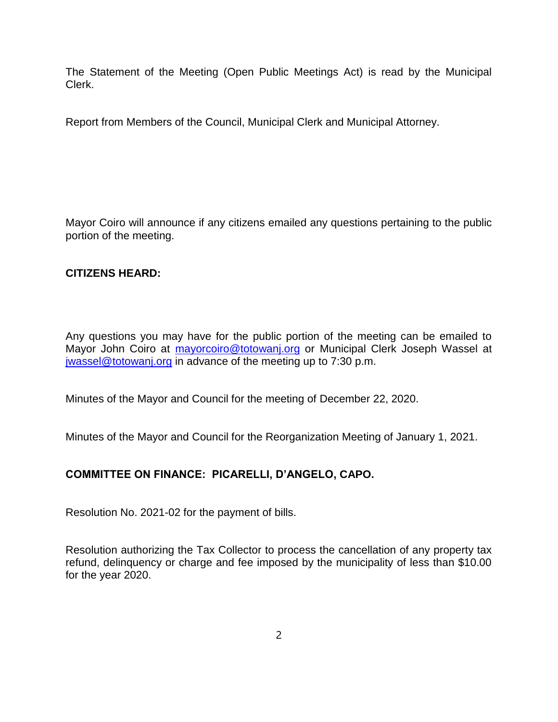The Statement of the Meeting (Open Public Meetings Act) is read by the Municipal Clerk.

Report from Members of the Council, Municipal Clerk and Municipal Attorney.

Mayor Coiro will announce if any citizens emailed any questions pertaining to the public portion of the meeting.

# **CITIZENS HEARD:**

Any questions you may have for the public portion of the meeting can be emailed to Mayor John Coiro at [mayorcoiro@totowanj.org](mailto:mayorcoiro@totowanj.org) or Municipal Clerk Joseph Wassel at [jwassel@totowanj.org](mailto:jwassel@totowanj.org) in advance of the meeting up to 7:30 p.m.

Minutes of the Mayor and Council for the meeting of December 22, 2020.

Minutes of the Mayor and Council for the Reorganization Meeting of January 1, 2021.

# **COMMITTEE ON FINANCE: PICARELLI, D'ANGELO, CAPO.**

Resolution No. 2021-02 for the payment of bills.

Resolution authorizing the Tax Collector to process the cancellation of any property tax refund, delinquency or charge and fee imposed by the municipality of less than \$10.00 for the year 2020.